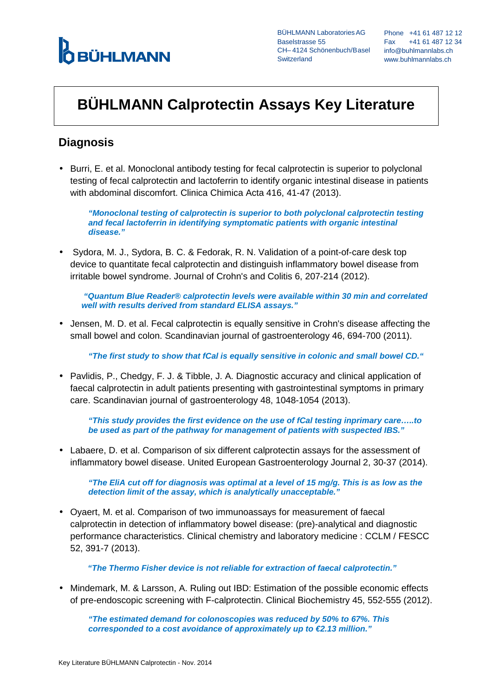# **Ó BÜHLMANN**

CH-4124 Schönenbuch/Basel info@buhlmannlabs.ch BÜHLMANN LaboratoriesAG Baselstrasse 55 **Switzerland** 

Phone +41 61 487 12 12 Fax +41 61 487 12 34 www.buhlmannlabs.ch

## **BÜHLMANN Calprotectin Assays Key Literature**

### **Diagnosis**

• Burri, E. et al. Monoclonal antibody testing for fecal calprotectin is superior to polyclonal testing of fecal calprotectin and lactoferrin to identify organic intestinal disease in patients with abdominal discomfort. Clinica Chimica Acta 416, 41-47 (2013).

**"Monoclonal testing of calprotectin is superior to both polyclonal calprotectin testing and fecal lactoferrin in identifying symptomatic patients with organic intestinal disease."** 

• Sydora, M. J., Sydora, B. C. & Fedorak, R. N. Validation of a point-of-care desk top device to quantitate fecal calprotectin and distinguish inflammatory bowel disease from irritable bowel syndrome. Journal of Crohn's and Colitis 6, 207-214 (2012).

 **"Quantum Blue Reader® calprotectin levels were available within 30 min and correlated well with results derived from standard ELISA assays."** 

• Jensen, M. D. et al. Fecal calprotectin is equally sensitive in Crohn's disease affecting the small bowel and colon. Scandinavian journal of gastroenterology 46, 694-700 (2011).

**"The first study to show that fCal is equally sensitive in colonic and small bowel CD."** 

• Pavlidis, P., Chedgy, F. J. & Tibble, J. A. Diagnostic accuracy and clinical application of faecal calprotectin in adult patients presenting with gastrointestinal symptoms in primary care. Scandinavian journal of gastroenterology 48, 1048-1054 (2013).

**"This study provides the first evidence on the use of fCal testing inprimary care…..to be used as part of the pathway for management of patients with suspected IBS."** 

• Labaere, D. et al. Comparison of six different calprotectin assays for the assessment of inflammatory bowel disease. United European Gastroenterology Journal 2, 30-37 (2014).

**"The EliA cut off for diagnosis was optimal at a level of 15 mg/g. This is as low as the detection limit of the assay, which is analytically unacceptable."** 

• Oyaert, M. et al. Comparison of two immunoassays for measurement of faecal calprotectin in detection of inflammatory bowel disease: (pre)-analytical and diagnostic performance characteristics. Clinical chemistry and laboratory medicine : CCLM / FESCC 52, 391-7 (2013).

**"The Thermo Fisher device is not reliable for extraction of faecal calprotectin."** 

• Mindemark, M. & Larsson, A. Ruling out IBD: Estimation of the possible economic effects of pre-endoscopic screening with F-calprotectin. Clinical Biochemistry 45, 552-555 (2012).

**"The estimated demand for colonoscopies was reduced by 50% to 67%. This corresponded to a cost avoidance of approximately up to €2.13 million."**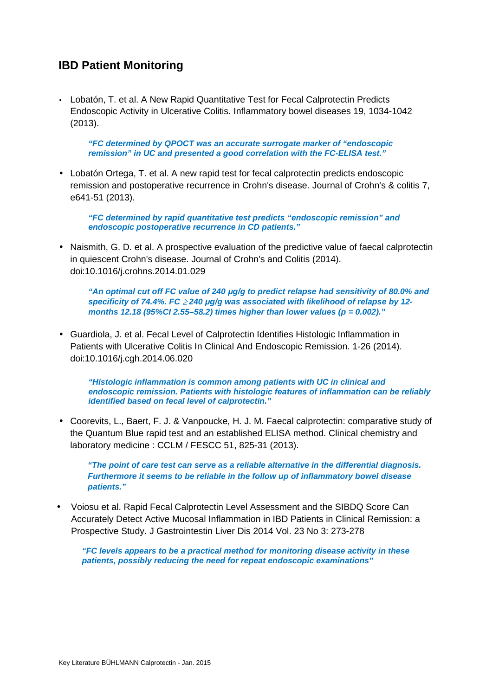#### **IBD Patient Monitoring**

• Lobatón, T. et al. A New Rapid Quantitative Test for Fecal Calprotectin Predicts Endoscopic Activity in Ulcerative Colitis. Inflammatory bowel diseases 19, 1034-1042 (2013).

**"FC determined by QPOCT was an accurate surrogate marker of "endoscopic remission" in UC and presented a good correlation with the FC-ELISA test."** 

• Lobatón Ortega, T. et al. A new rapid test for fecal calprotectin predicts endoscopic remission and postoperative recurrence in Crohn's disease. Journal of Crohn's & colitis 7, e641-51 (2013).

**"FC determined by rapid quantitative test predicts "endoscopic remission" and endoscopic postoperative recurrence in CD patients."** 

• Naismith, G. D. et al. A prospective evaluation of the predictive value of faecal calprotectin in quiescent Crohn's disease. Journal of Crohn's and Colitis (2014). doi:10.1016/j.crohns.2014.01.029

<sup>"</sup>An optimal cut off FC value of 240 µg/g to predict relapse had sensitivity of 80.0% and **specificity of 74.4%. FC** ≥ **240** *µ***g/g was associated with likelihood of relapse by 12 months 12.18 (95%CI 2.55–58.2) times higher than lower values (p = 0.002)."** 

• Guardiola, J. et al. Fecal Level of Calprotectin Identifies Histologic Inflammation in Patients with Ulcerative Colitis In Clinical And Endoscopic Remission. 1-26 (2014). doi:10.1016/j.cgh.2014.06.020

**"Histologic inflammation is common among patients with UC in clinical and endoscopic remission. Patients with histologic features of inflammation can be reliably identified based on fecal level of calprotectin."** 

• Coorevits, L., Baert, F. J. & Vanpoucke, H. J. M. Faecal calprotectin: comparative study of the Quantum Blue rapid test and an established ELISA method. Clinical chemistry and laboratory medicine : CCLM / FESCC 51, 825-31 (2013).

**"The point of care test can serve as a reliable alternative in the differential diagnosis. Furthermore it seems to be reliable in the follow up of inflammatory bowel disease patients."** 

• Voiosu et al. Rapid Fecal Calprotectin Level Assessment and the SIBDQ Score Can Accurately Detect Active Mucosal Inflammation in IBD Patients in Clinical Remission: a Prospective Study. J Gastrointestin Liver Dis 2014 Vol. 23 No 3: 273-278

**"FC levels appears to be a practical method for monitoring disease activity in these patients, possibly reducing the need for repeat endoscopic examinations"**